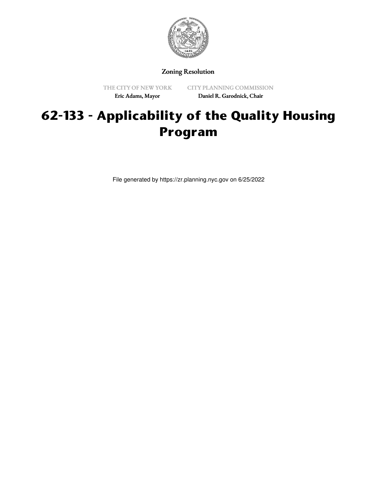

Zoning Resolution

THE CITY OF NEW YORK Eric Adams, Mayor

CITY PLANNING COMMISSION Daniel R. Garodnick, Chair

## **62-133 - Applicability of the Quality Housing Program**

File generated by https://zr.planning.nyc.gov on 6/25/2022